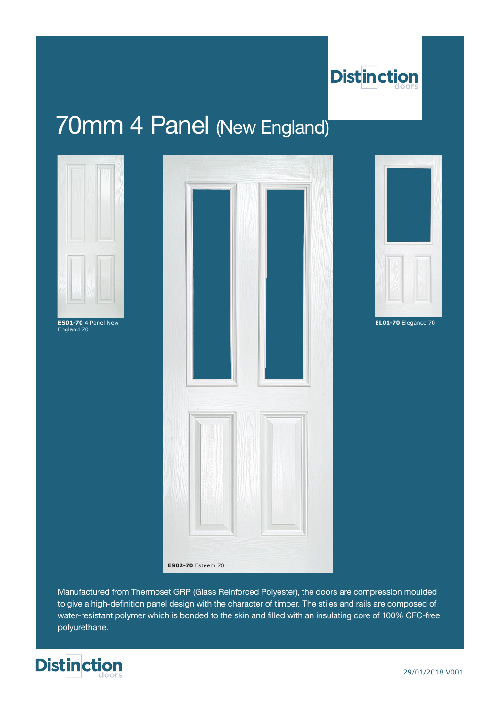

# 70mm 4 Panel (New England)



England 70

| ES01-70 4 Panel New<br>England 70 |                          | EL01-70 Elegance 70 |
|-----------------------------------|--------------------------|---------------------|
|                                   |                          |                     |
|                                   |                          |                     |
|                                   |                          |                     |
|                                   |                          |                     |
|                                   | <b>ES02-70</b> Esteem 70 |                     |



Manufactured from Thermoset GRP (Glass Reinforced Polyester), the doors are compression moulded to give a high-definition panel design with the character of timber. The stiles and rails are composed of water-resistant polymer which is bonded to the skin and filled with an insulating core of 100% CFC-free polyurethane.